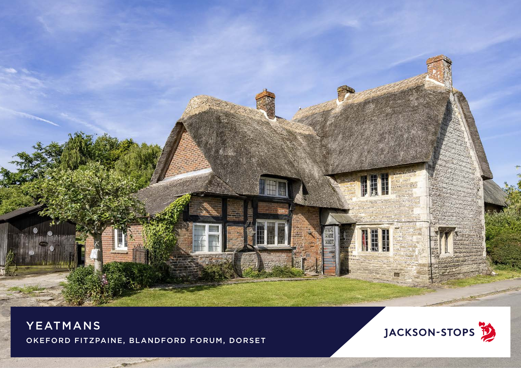

YEATMANS OKEFORD FITZPAINE, BLANDFORD FORUM, DORSET

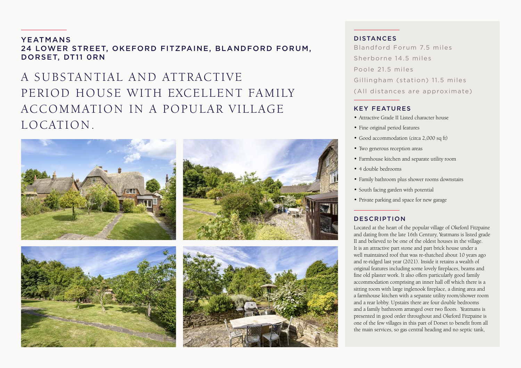YEATMANS 24 LOWER STREET, OKEFORD FITZPAINE, BLANDFORD FORUM, DORSET, DT11 0RN

# A SUB STANTIAL AND ATTRACTIVE PERIOD HOUSE WITH EXCELLENT FAMILY ACCOMMATION IN A POPULAR VILLAGE LOCATION.



#### DISTANCES

Blandford Forum 7.5 miles Sherborne 14.5 miles Poole 21.5 miles Gillingham (station) 11.5 miles (All distances are approximate)

#### KEY FEATURES

- Attractive Grade II Listed character house
- Fine original period features
- Good accommodation (circa 2,000 sq ft)
- Two generous reception areas
- Farmhouse kitchen and separate utility room
- 4 double bedrooms
- Family bathroom plus shower rooms downstairs
- South facing garden with potential
- Private parking and space for new garage

#### **DESCRIPTION**

Located at the heart of the popular village of Okeford Fitzpaine and dating from the late 16th Century, Yeatmans is listed grade II and believed to be one of the oldest houses in the village. It is an attractive part stone and part brick house under a well maintained roof that was re-thatched about 10 years ago and re-ridged last year (2021). Inside it retains a wealth of original features including some lovely fireplaces, beams and fine old plaster work. It also offers particularly good family accommodation comprising an inner hall off which there is a sitting room with large inglenook fireplace, a dining area and a farmhouse kitchen with a separate utility room/shower room and a rear lobby. Upstairs there are four double bedrooms and a family bathroom arranged over two floors. Yeatmans is presented in good order throughout and Okeford Fitzpaine is one of the few villages in this part of Dorset to benefit from all the main services, so gas central heading and no septic tank,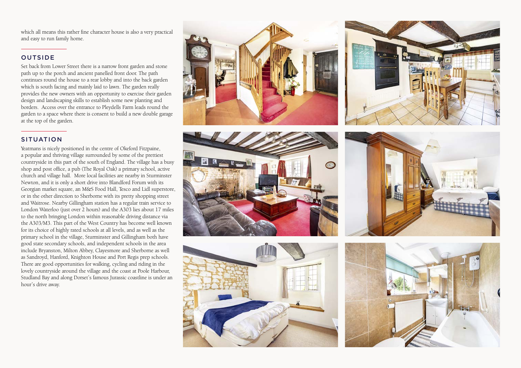which all means this rather fine character house is also a very practical and easy to run family home.

## OUTSIDE

Set back from Lower Street there is a narrow front garden and stone path up to the porch and ancient panelled front door. The path continues round the house to a rear lobby and into the back garden which is south facing and mainly laid to lawn. The garden really provides the new owners with an opportunity to exercise their garden design and landscaping skills to establish some new planting and borders. Access over the entrance to Pleydells Farm leads round the garden to a space where there is consent to build a new double garage at the top of the garden.

### SITUATION

Yeatmans is nicely positioned in the centre of Okeford Fitzpaine, a popular and thriving village surrounded by some of the prettiest countryside in this part of the south of England. The village has a busy shop and post office, a pub (The Royal Oak) a primary school, active church and village hall. More local facilities are nearby in Sturminster Newton, and it is only a short drive into Blandford Forum with its Georgian market square, an M&S Food Hall, Tesco and Lidl superstore, or in the other direction to Sherborne with its pretty shopping street and Waitrose. Nearby Gillingham station has a regular train service to London Waterloo (just over 2 hours) and the A303 lies about 17 miles to the north bringing London within reasonable driving distance via the A303/M3. This part of the West Country has become well known for its choice of highly rated schools at all levels, and as well as the primary school in the village, Sturminster and Gillingham both have good state secondary schools, and independent schools in the area include Bryanston, Milton Abbey, Clayesmore and Sherborne as well as Sandroyd, Hanford, Knighton House and Port Regis prep schools. There are good opportunities for walking, cycling and riding in the lovely countryside around the village and the coast at Poole Harbour, Studland Bay and along Dorset's famous Jurassic coastline is under an hour's drive away.